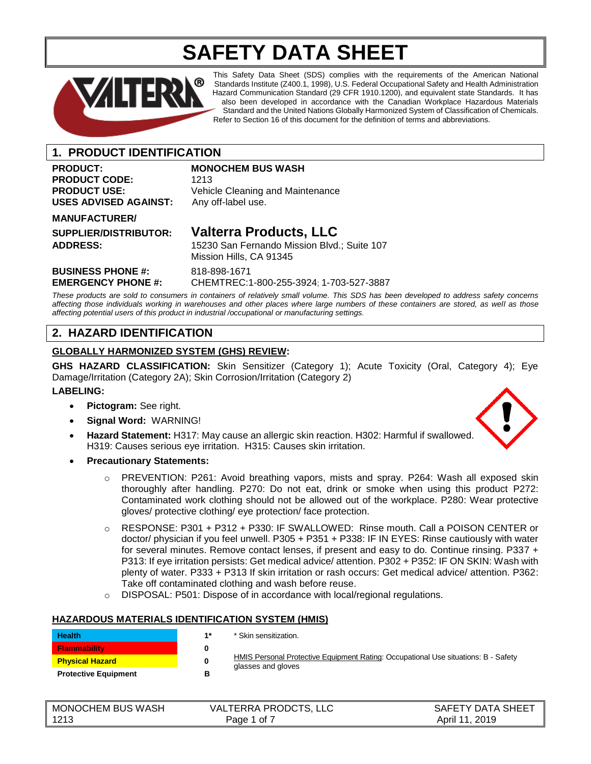# **SAFETY DATA SHEET**



This Safety Data Sheet (SDS) complies with the requirements of the American National Standards Institute (Z400.1, 1998), U.S. Federal Occupational Safety and Health Administration Hazard Communication Standard (29 CFR 1910.1200), and equivalent state Standards. It has also been developed in accordance with the Canadian Workplace Hazardous Materials Standard and the United Nations Globally Harmonized System of Classification of Chemicals. Refer to Section 16 of this document for the definition of terms and abbreviations.

### **1. PRODUCT IDENTIFICATION**

## **PRODUCT:** MONOCHEM BUS WASH PRODUCT CODE: 1213 **USES ADVISED AGAINST:**

**PRODUCT USE:** Vehicle Cleaning and Maintenance USES ADVISED AGAINST: Any off-label use.

#### **MANUFACTURER/**

## **SUPPLIER/DISTRIBUTOR: Valterra Products, LLC**

**ADDRESS:** 15230 San Fernando Mission Blvd.; Suite 107 Mission Hills, CA 91345

**BUSINESS PHONE #:** 818-898-1671

**EMERGENCY PHONE #:** CHEMTREC:1-800-255-3924; 1-703-527-3887

*These products are sold to consumers in containers of relatively small volume. This SDS has been developed to address safety concerns affecting those individuals working in warehouses and other places where large numbers of these containers are stored, as well as those affecting potential users of this product in industrial /occupational or manufacturing settings.*

### **2. HAZARD IDENTIFICATION**

### **GLOBALLY HARMONIZED SYSTEM (GHS) REVIEW:**

**GHS HAZARD CLASSIFICATION:** Skin Sensitizer (Category 1); Acute Toxicity (Oral, Category 4); Eye Damage/Irritation (Category 2A); Skin Corrosion/Irritation (Category 2)

#### **LABELING:**

- **Pictogram:** See right.
- **Signal Word:** WARNING!
- **Hazard Statement:** H317: May cause an allergic skin reaction. H302: Harmful if swallowed. H319: Causes serious eye irritation. H315: Causes skin irritation.



- o PREVENTION: P261: Avoid breathing vapors, mists and spray. P264: Wash all exposed skin thoroughly after handling. P270: Do not eat, drink or smoke when using this product P272: Contaminated work clothing should not be allowed out of the workplace. P280: Wear protective gloves/ protective clothing/ eye protection/ face protection.
- o RESPONSE: P301 + P312 + P330: IF SWALLOWED: Rinse mouth. Call a POISON CENTER or doctor/ physician if you feel unwell. P305 + P351 + P338: IF IN EYES: Rinse cautiously with water for several minutes. Remove contact lenses, if present and easy to do. Continue rinsing. P337 + P313: If eye irritation persists: Get medical advice/ attention. P302 + P352: IF ON SKIN: Wash with plenty of water. P333 + P313 If skin irritation or rash occurs: Get medical advice/ attention. P362: Take off contaminated clothing and wash before reuse.
- o DISPOSAL: P501: Dispose of in accordance with local/regional regulations.

#### **HAZARDOUS MATERIALS IDENTIFICATION SYSTEM (HMIS)**

| <b>Health</b>               | $4*$ | * Skin sensitization.                                                                                    |
|-----------------------------|------|----------------------------------------------------------------------------------------------------------|
| <b>Flammability</b>         |      |                                                                                                          |
| <b>Physical Hazard</b>      |      | HMIS Personal Protective Equipment Rating: Occupational Use situations: B - Safety<br>glasses and gloves |
| <b>Protective Equipment</b> | в    |                                                                                                          |

| <b>MONOCHEM BUS WASH</b> | <b>VALTERRA PRODCTS, LLC</b> | SAFETY DATA SHEET |
|--------------------------|------------------------------|-------------------|
| 1213                     | Page 1 of                    | April 11, 2019    |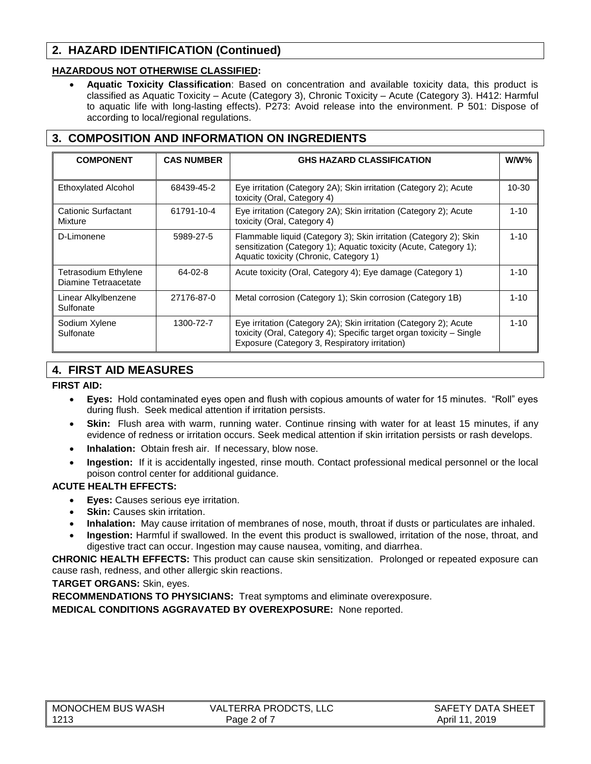### **2. HAZARD IDENTIFICATION (Continued)**

### **HAZARDOUS NOT OTHERWISE CLASSIFIED:**

• **Aquatic Toxicity Classification**: Based on concentration and available toxicity data, this product is classified as Aquatic Toxicity – Acute (Category 3), Chronic Toxicity – Acute (Category 3). H412: Harmful to aquatic life with long-lasting effects). P273: Avoid release into the environment. P 501: Dispose of according to local/regional regulations.

### **3. COMPOSITION AND INFORMATION ON INGREDIENTS**

| <b>COMPONENT</b>                                    | <b>CAS NUMBER</b> | <b>GHS HAZARD CLASSIFICATION</b>                                                                                                                                                           | W/W%      |
|-----------------------------------------------------|-------------------|--------------------------------------------------------------------------------------------------------------------------------------------------------------------------------------------|-----------|
| <b>Ethoxylated Alcohol</b>                          | 68439-45-2        | Eye irritation (Category 2A); Skin irritation (Category 2); Acute<br>toxicity (Oral, Category 4)                                                                                           | $10 - 30$ |
| Cationic Surfactant<br>Mixture                      | 61791-10-4        | Eye irritation (Category 2A); Skin irritation (Category 2); Acute<br>toxicity (Oral, Category 4)                                                                                           | $1 - 10$  |
| D-Limonene                                          | 5989-27-5         | Flammable liquid (Category 3); Skin irritation (Category 2); Skin<br>sensitization (Category 1); Aquatic toxicity (Acute, Category 1);<br>Aquatic toxicity (Chronic, Category 1)           | $1 - 10$  |
| <b>Tetrasodium Ethylene</b><br>Diamine Tetraacetate | $64 - 02 - 8$     | Acute toxicity (Oral, Category 4); Eye damage (Category 1)                                                                                                                                 | $1 - 10$  |
| Linear Alkylbenzene<br>Sulfonate                    | 27176-87-0        | Metal corrosion (Category 1); Skin corrosion (Category 1B)                                                                                                                                 | $1 - 10$  |
| Sodium Xylene<br>Sulfonate                          | 1300-72-7         | Eye irritation (Category 2A); Skin irritation (Category 2); Acute<br>toxicity (Oral, Category 4); Specific target organ toxicity - Single<br>Exposure (Category 3, Respiratory irritation) | $1 - 10$  |

### **4. FIRST AID MEASURES**

### **FIRST AID:**

- **Eyes:** Hold contaminated eyes open and flush with copious amounts of water for 15 minutes. "Roll" eyes during flush. Seek medical attention if irritation persists.
- **Skin:** Flush area with warm, running water. Continue rinsing with water for at least 15 minutes, if any evidence of redness or irritation occurs. Seek medical attention if skin irritation persists or rash develops.
- **Inhalation:** Obtain fresh air. If necessary, blow nose.
- **Ingestion:** If it is accidentally ingested, rinse mouth. Contact professional medical personnel or the local poison control center for additional guidance.

### **ACUTE HEALTH EFFECTS:**

- **Eyes:** Causes serious eye irritation.
- **Skin: Causes skin irritation.**
- **Inhalation:** May cause irritation of membranes of nose, mouth, throat if dusts or particulates are inhaled.
- **Ingestion:** Harmful if swallowed. In the event this product is swallowed, irritation of the nose, throat, and digestive tract can occur. Ingestion may cause nausea, vomiting, and diarrhea.

**CHRONIC HEALTH EFFECTS:** This product can cause skin sensitization. Prolonged or repeated exposure can cause rash, redness, and other allergic skin reactions.

#### **TARGET ORGANS:** Skin, eyes.

**RECOMMENDATIONS TO PHYSICIANS:** Treat symptoms and eliminate overexposure.

**MEDICAL CONDITIONS AGGRAVATED BY OVEREXPOSURE:** None reported.

| $\parallel$ MONOCHEM BUS WASH | VALTERRA PRODCTS, LLC | SAFETY DATA SHEET |
|-------------------------------|-----------------------|-------------------|
| 1213                          | Page 2 of 7           | April 11, 2019    |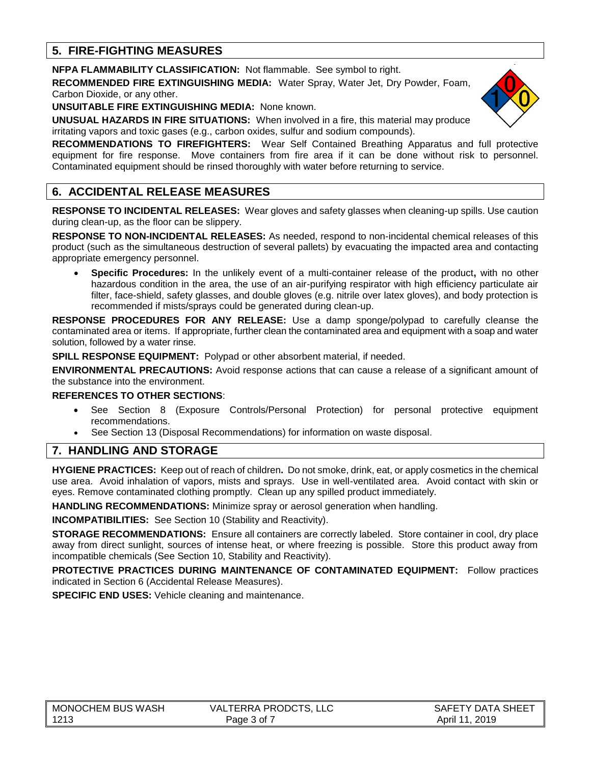### **5. FIRE-FIGHTING MEASURES**

**NFPA FLAMMABILITY CLASSIFICATION:** Not flammable. See symbol to right.

**RECOMMENDED FIRE EXTINGUISHING MEDIA:** Water Spray, Water Jet, Dry Powder, Foam, Carbon Dioxide, or any other.

**UNSUITABLE FIRE EXTINGUISHING MEDIA:** None known.

**UNUSUAL HAZARDS IN FIRE SITUATIONS:** When involved in a fire, this material may produce irritating vapors and toxic gases (e.g., carbon oxides, sulfur and sodium compounds).

**RECOMMENDATIONS TO FIREFIGHTERS:** Wear Self Contained Breathing Apparatus and full protective equipment for fire response. Move containers from fire area if it can be done without risk to personnel. Contaminated equipment should be rinsed thoroughly with water before returning to service.

### **6. ACCIDENTAL RELEASE MEASURES**

**RESPONSE TO INCIDENTAL RELEASES:** Wear gloves and safety glasses when cleaning-up spills. Use caution during clean-up, as the floor can be slippery.

**RESPONSE TO NON-INCIDENTAL RELEASES:** As needed, respond to non-incidental chemical releases of this product (such as the simultaneous destruction of several pallets) by evacuating the impacted area and contacting appropriate emergency personnel.

• **Specific Procedures:** In the unlikely event of a multi-container release of the product**,** with no other hazardous condition in the area, the use of an air-purifying respirator with high efficiency particulate air filter, face-shield, safety glasses, and double gloves (e.g. nitrile over latex gloves), and body protection is recommended if mists/sprays could be generated during clean-up.

**RESPONSE PROCEDURES FOR ANY RELEASE:** Use a damp sponge/polypad to carefully cleanse the contaminated area or items. If appropriate, further clean the contaminated area and equipment with a soap and water solution, followed by a water rinse.

**SPILL RESPONSE EQUIPMENT:** Polypad or other absorbent material, if needed.

**ENVIRONMENTAL PRECAUTIONS:** Avoid response actions that can cause a release of a significant amount of the substance into the environment.

#### **REFERENCES TO OTHER SECTIONS**:

- See Section 8 (Exposure Controls/Personal Protection) for personal protective equipment recommendations.
- See Section 13 (Disposal Recommendations) for information on waste disposal.

### **7. HANDLING AND STORAGE**

**HYGIENE PRACTICES:** Keep out of reach of children**.** Do not smoke, drink, eat, or apply cosmetics in the chemical use area. Avoid inhalation of vapors, mists and sprays. Use in well-ventilated area. Avoid contact with skin or eyes. Remove contaminated clothing promptly. Clean up any spilled product immediately.

**HANDLING RECOMMENDATIONS:** Minimize spray or aerosol generation when handling.

**INCOMPATIBILITIES:** See Section 10 (Stability and Reactivity).

**STORAGE RECOMMENDATIONS:** Ensure all containers are correctly labeled. Store container in cool, dry place away from direct sunlight, sources of intense heat, or where freezing is possible. Store this product away from incompatible chemicals (See Section 10, Stability and Reactivity).

**PROTECTIVE PRACTICES DURING MAINTENANCE OF CONTAMINATED EQUIPMENT:** Follow practices indicated in Section 6 (Accidental Release Measures).

**SPECIFIC END USES:** Vehicle cleaning and maintenance.

| ∥ MONOCHEM BUS WASH | <b>VALTERRA PRODCTS, LLC</b> | SAFETY DATA SHEET |
|---------------------|------------------------------|-------------------|
| $\vert$ 1213        | Page 3 of                    | April 11, 2019    |

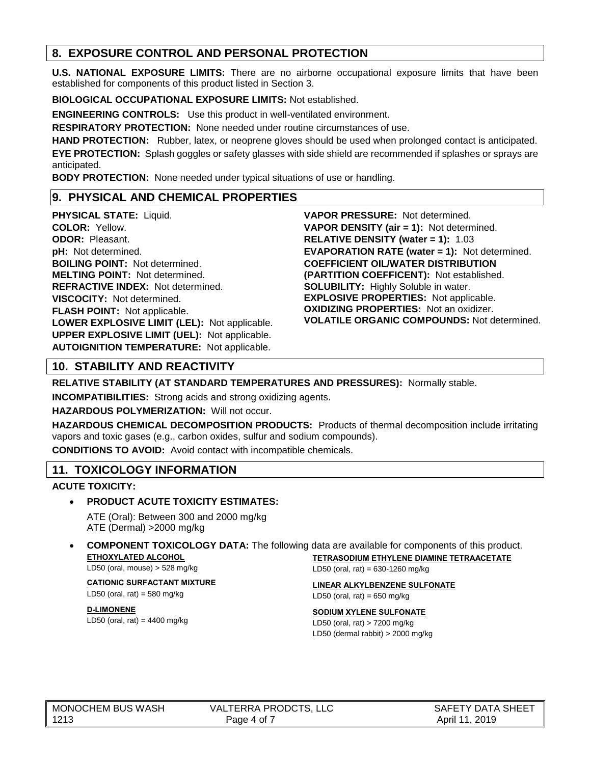### **8. EXPOSURE CONTROL AND PERSONAL PROTECTION**

**U.S. NATIONAL EXPOSURE LIMITS:** There are no airborne occupational exposure limits that have been established for components of this product listed in Section 3.

**BIOLOGICAL OCCUPATIONAL EXPOSURE LIMITS:** Not established.

**ENGINEERING CONTROLS:** Use this product in well-ventilated environment.

**RESPIRATORY PROTECTION:** None needed under routine circumstances of use.

**HAND PROTECTION:** Rubber, latex, or neoprene gloves should be used when prolonged contact is anticipated. **EYE PROTECTION:** Splash goggles or safety glasses with side shield are recommended if splashes or sprays are anticipated.

**BODY PROTECTION:** None needed under typical situations of use or handling.

### **9. PHYSICAL AND CHEMICAL PROPERTIES**

**PHYSICAL STATE:** Liquid. **COLOR:** Yellow. **ODOR:** Pleasant. **pH:** Not determined. **BOILING POINT:** Not determined. **MELTING POINT:** Not determined. **REFRACTIVE INDEX:** Not determined. **VISCOCITY:** Not determined. **FLASH POINT:** Not applicable. **LOWER EXPLOSIVE LIMIT (LEL):** Not applicable. **UPPER EXPLOSIVE LIMIT (UEL):** Not applicable. **AUTOIGNITION TEMPERATURE:** Not applicable.

**VAPOR PRESSURE:** Not determined. **VAPOR DENSITY (air = 1):** Not determined. **RELATIVE DENSITY (water = 1):** 1.03 **EVAPORATION RATE (water = 1):** Not determined. **COEFFICIENT OIL/WATER DISTRIBUTION (PARTITION COEFFICENT):** Not established. **SOLUBILITY:** Highly Soluble in water. **EXPLOSIVE PROPERTIES:** Not applicable. **OXIDIZING PROPERTIES:** Not an oxidizer. **VOLATILE ORGANIC COMPOUNDS:** Not determined.

## **10. STABILITY AND REACTIVITY**

**RELATIVE STABILITY (AT STANDARD TEMPERATURES AND PRESSURES):** Normally stable.

**INCOMPATIBILITIES:** Strong acids and strong oxidizing agents.

**HAZARDOUS POLYMERIZATION:** Will not occur.

**HAZARDOUS CHEMICAL DECOMPOSITION PRODUCTS:** Products of thermal decomposition include irritating vapors and toxic gases (e.g., carbon oxides, sulfur and sodium compounds).

**CONDITIONS TO AVOID:** Avoid contact with incompatible chemicals.

### **11. TOXICOLOGY INFORMATION**

### **ACUTE TOXICITY:**

### • **PRODUCT ACUTE TOXICITY ESTIMATES:**

ATE (Oral): Between 300 and 2000 mg/kg ATE (Dermal) >2000 mg/kg

#### • **COMPONENT TOXICOLOGY DATA:** The following data are available for components of this product. **ETHOXYLATED ALCOHOL TETRASODIUM ETHYLENE DIAMINE TETRAACETATE**

LD50 (oral, mouse) > 528 mg/kg

**CATIONIC SURFACTANT MIXTURE** LD50 (oral, rat) =  $580$  mg/kg

**D-LIMONENE** LD50 (oral, rat) =  $4400$  mg/kg **LINEAR ALKYLBENZENE SULFONATE**

LD50 (oral, rat) =  $650$  mg/kg

#### **SODIUM XYLENE SULFONATE**

LD50 (oral, rat) =  $630 - 1260$  mg/kg

LD50 (oral, rat) > 7200 mg/kg LD50 (dermal rabbit) > 2000 mg/kg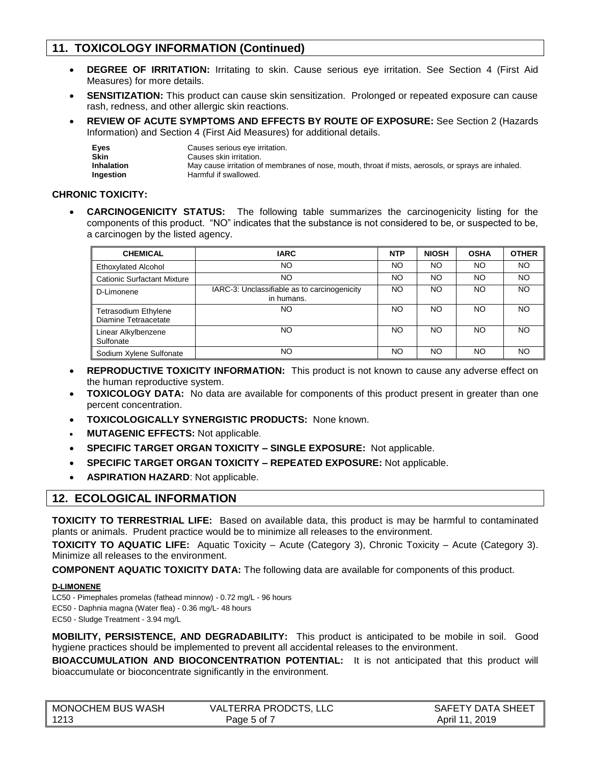### **11. TOXICOLOGY INFORMATION (Continued)**

- **DEGREE OF IRRITATION:** Irritating to skin. Cause serious eye irritation. See Section 4 (First Aid Measures) for more details.
- **SENSITIZATION:** This product can cause skin sensitization. Prolonged or repeated exposure can cause rash, redness, and other allergic skin reactions.
- **REVIEW OF ACUTE SYMPTOMS AND EFFECTS BY ROUTE OF EXPOSURE:** See Section 2 (Hazards Information) and Section 4 (First Aid Measures) for additional details.

| Eyes       | Causes serious eye irritation.                                                                      |
|------------|-----------------------------------------------------------------------------------------------------|
| Skin       | Causes skin irritation.                                                                             |
| Inhalation | May cause irritation of membranes of nose, mouth, throat if mists, aerosols, or sprays are inhaled. |
| Ingestion  | Harmful if swallowed.                                                                               |

#### **CHRONIC TOXICITY:**

• **CARCINOGENICITY STATUS:** The following table summarizes the carcinogenicity listing for the components of this product. "NO" indicates that the substance is not considered to be, or suspected to be, a carcinogen by the listed agency.

| <b>CHEMICAL</b>                                     | <b>IARC</b>                                                | <b>NTP</b> | <b>NIOSH</b> | <b>OSHA</b> | <b>OTHER</b> |
|-----------------------------------------------------|------------------------------------------------------------|------------|--------------|-------------|--------------|
| <b>Ethoxylated Alcohol</b>                          | NO                                                         | <b>NO</b>  | NO           | NO.         | NO.          |
| <b>Cationic Surfactant Mixture</b>                  | NO                                                         | NO         | NO           | NO.         | <b>NO</b>    |
| D-Limonene                                          | IARC-3: Unclassifiable as to carcinogenicity<br>in humans. | NO         | NO           | NO.         | <b>NO</b>    |
| <b>Tetrasodium Ethylene</b><br>Diamine Tetraacetate | NO                                                         | NO         | NO           | NO.         | NO.          |
| Linear Alkylbenzene<br>Sulfonate                    | NO                                                         | <b>NO</b>  | NO           | NO.         | <b>NO</b>    |
| Sodium Xylene Sulfonate                             | NO                                                         | NO.        | NO           | NO.         | NO.          |

- **REPRODUCTIVE TOXICITY INFORMATION:** This product is not known to cause any adverse effect on the human reproductive system.
- **TOXICOLOGY DATA:** No data are available for components of this product present in greater than one percent concentration.
- **TOXICOLOGICALLY SYNERGISTIC PRODUCTS:** None known.
- **MUTAGENIC EFFECTS:** Not applicable.
- **SPECIFIC TARGET ORGAN TOXICITY – SINGLE EXPOSURE:** Not applicable.
- **SPECIFIC TARGET ORGAN TOXICITY – REPEATED EXPOSURE:** Not applicable.
- **ASPIRATION HAZARD**: Not applicable.

### **12. ECOLOGICAL INFORMATION**

**TOXICITY TO TERRESTRIAL LIFE:** Based on available data, this product is may be harmful to contaminated plants or animals. Prudent practice would be to minimize all releases to the environment.

**TOXICITY TO AQUATIC LIFE:** Aquatic Toxicity – Acute (Category 3), Chronic Toxicity – Acute (Category 3). Minimize all releases to the environment.

**COMPONENT AQUATIC TOXICITY DATA:** The following data are available for components of this product.

#### **D-LIMONENE**

LC50 - Pimephales promelas (fathead minnow) - 0.72 mg/L - 96 hours

EC50 - Daphnia magna (Water flea) - 0.36 mg/L- 48 hours

EC50 - Sludge Treatment - 3.94 mg/L

**MOBILITY, PERSISTENCE, AND DEGRADABILITY:** This product is anticipated to be mobile in soil. Good hygiene practices should be implemented to prevent all accidental releases to the environment.

**BIOACCUMULATION AND BIOCONCENTRATION POTENTIAL:** It is not anticipated that this product will bioaccumulate or bioconcentrate significantly in the environment.

| MONOCHEM BUS WASH | VALTERRA PRODCTS, LLC | SAFETY DATA SHEET |
|-------------------|-----------------------|-------------------|
| 1213              | Page 5 of T           | April 11, 2019    |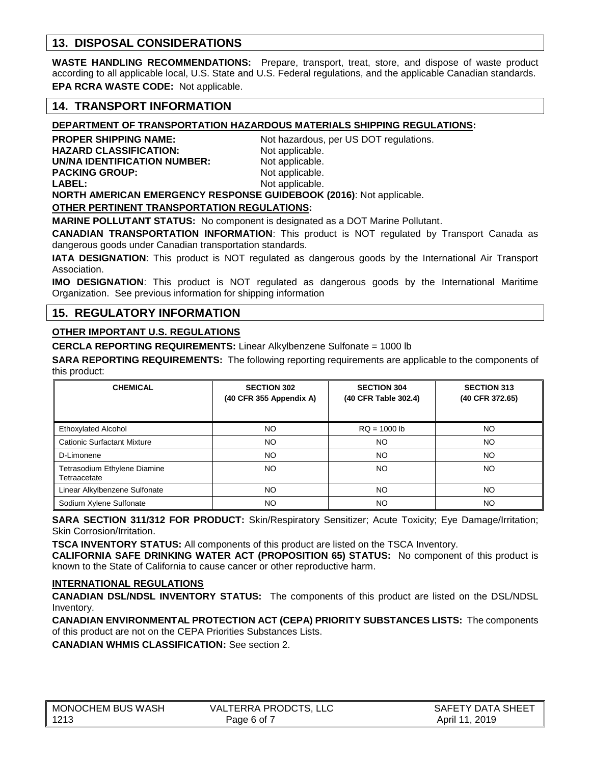### **13. DISPOSAL CONSIDERATIONS**

**WASTE HANDLING RECOMMENDATIONS:** Prepare, transport, treat, store, and dispose of waste product according to all applicable local, U.S. State and U.S. Federal regulations, and the applicable Canadian standards. **EPA RCRA WASTE CODE:** Not applicable.

### **14. TRANSPORT INFORMATION**

### **DEPARTMENT OF TRANSPORTATION HAZARDOUS MATERIALS SHIPPING REGULATIONS:**

**PROPER SHIPPING NAME:** Not hazardous, per US DOT regulations. **HAZARD CLASSIFICATION:** Not applicable. **UN/NA IDENTIFICATION NUMBER:** Not applicable. **PACKING GROUP:** Not applicable. **LABEL:** Not applicable.

**NORTH AMERICAN EMERGENCY RESPONSE GUIDEBOOK (2016)**: Not applicable.

#### **OTHER PERTINENT TRANSPORTATION REGULATIONS:**

**MARINE POLLUTANT STATUS:** No component is designated as a DOT Marine Pollutant.

**CANADIAN TRANSPORTATION INFORMATION**: This product is NOT regulated by Transport Canada as dangerous goods under Canadian transportation standards.

**IATA DESIGNATION**: This product is NOT regulated as dangerous goods by the International Air Transport Association.

**IMO DESIGNATION**: This product is NOT regulated as dangerous goods by the International Maritime Organization. See previous information for shipping information

### **15. REGULATORY INFORMATION**

#### **OTHER IMPORTANT U.S. REGULATIONS**

**CERCLA REPORTING REQUIREMENTS:** Linear Alkylbenzene Sulfonate = 1000 lb

**SARA REPORTING REQUIREMENTS:** The following reporting requirements are applicable to the components of this product:

| <b>CHEMICAL</b>                              | <b>SECTION 302</b><br>(40 CFR 355 Appendix A) | <b>SECTION 304</b><br>(40 CFR Table 302.4) | <b>SECTION 313</b><br>(40 CFR 372.65) |
|----------------------------------------------|-----------------------------------------------|--------------------------------------------|---------------------------------------|
| <b>Ethoxylated Alcohol</b>                   | NO                                            | $RQ = 1000 lb$                             | NO                                    |
| <b>Cationic Surfactant Mixture</b>           | NO                                            | NO.                                        | NO                                    |
| D-Limonene                                   | NO                                            | NO.                                        | NO                                    |
| Tetrasodium Ethylene Diamine<br>Tetraacetate | NO                                            | NO.                                        | NO                                    |
| Linear Alkylbenzene Sulfonate                | NO.                                           | NO.                                        | NO.                                   |
| Sodium Xylene Sulfonate                      | NO                                            | NO                                         | NO                                    |

**SARA SECTION 311/312 FOR PRODUCT:** Skin/Respiratory Sensitizer; Acute Toxicity; Eye Damage/Irritation; Skin Corrosion/Irritation.

**TSCA INVENTORY STATUS:** All components of this product are listed on the TSCA Inventory.

**CALIFORNIA SAFE DRINKING WATER ACT (PROPOSITION 65) STATUS:** No component of this product is known to the State of California to cause cancer or other reproductive harm.

#### **INTERNATIONAL REGULATIONS**

**CANADIAN DSL/NDSL INVENTORY STATUS:** The components of this product are listed on the DSL/NDSL Inventory.

**CANADIAN ENVIRONMENTAL PROTECTION ACT (CEPA) PRIORITY SUBSTANCES LISTS:** The components of this product are not on the CEPA Priorities Substances Lists.

**CANADIAN WHMIS CLASSIFICATION:** See section 2.

| MONOCHEM BUS WASH | VALTERRA PRODCTS, LLC | SAFETY DATA SHEET |
|-------------------|-----------------------|-------------------|
| 1213              | Page 6 of 7           | April 11, 2019    |